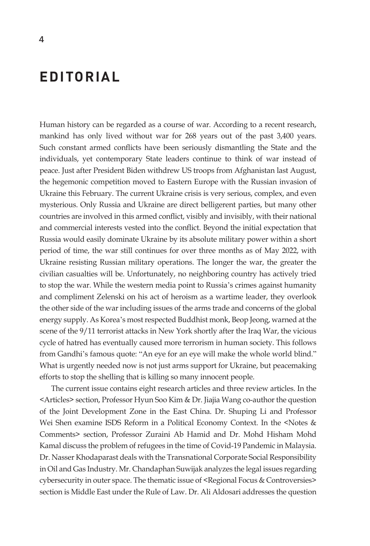## **EDITORIAL**

Human history can be regarded as a course of war. According to a recent research, mankind has only lived without war for 268 years out of the past 3,400 years. Such constant armed conflicts have been seriously dismantling the State and the individuals, yet contemporary State leaders continue to think of war instead of peace. Just after President Biden withdrew US troops from Afghanistan last August, the hegemonic competition moved to Eastern Europe with the Russian invasion of Ukraine this February. The current Ukraine crisis is very serious, complex, and even mysterious. Only Russia and Ukraine are direct belligerent parties, but many other countries are involved in this armed conflict, visibly and invisibly, with their national and commercial interests vested into the conflict. Beyond the initial expectation that Russia would easily dominate Ukraine by its absolute military power within a short period of time, the war still continues for over three months as of May 2022, with Ukraine resisting Russian military operations. The longer the war, the greater the civilian casualties will be. Unfortunately, no neighboring country has actively tried to stop the war. While the western media point to Russia's crimes against humanity and compliment Zelenski on his act of heroism as a wartime leader, they overlook the other side of the war including issues of the arms trade and concerns of the global energy supply. As Korea's most respected Buddhist monk, Beop Jeong, warned at the scene of the 9/11 terrorist attacks in New York shortly after the Iraq War, the vicious cycle of hatred has eventually caused more terrorism in human society. This follows from Gandhi's famous quote: "An eye for an eye will make the whole world blind." What is urgently needed now is not just arms support for Ukraine, but peacemaking efforts to stop the shelling that is killing so many innocent people.

The current issue contains eight research articles and three review articles. In the <Articles> section, Professor Hyun Soo Kim & Dr. Jiajia Wang co-author the question of the Joint Development Zone in the East China. Dr. Shuping Li and Professor Wei Shen examine ISDS Reform in a Political Economy Context. In the <Notes & Comments> section, Professor Zuraini Ab Hamid and Dr. Mohd Hisham Mohd Kamal discuss the problem of refugees in the time of Covid-19 Pandemic in Malaysia. Dr. Nasser Khodaparast deals with the Transnational Corporate Social Responsibility in Oil and Gas Industry. Mr. Chandaphan Suwijak analyzes the legal issues regarding cybersecurity in outer space. The thematic issue of <Regional Focus & Controversies> section is Middle East under the Rule of Law. Dr. Ali Aldosari addresses the question